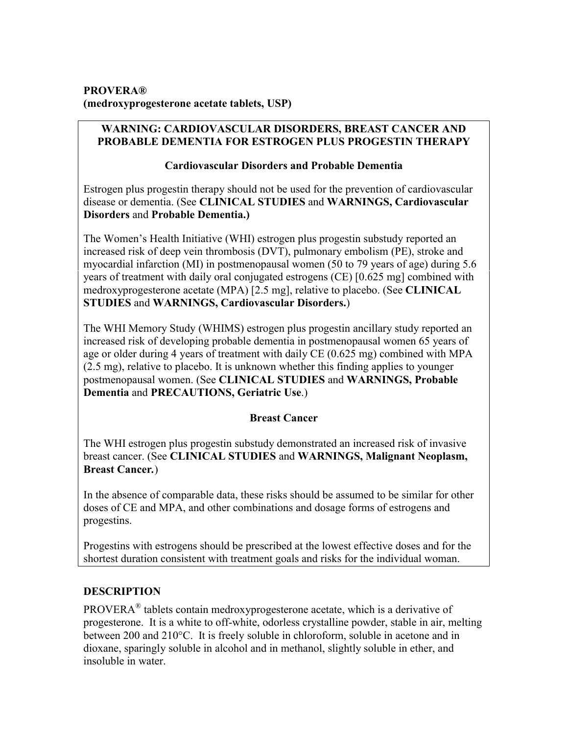## **PROVERA® (medroxyprogesterone acetate tablets, USP)**

## **WARNING: CARDIOVASCULAR DISORDERS, BREAST CANCER AND PROBABLE DEMENTIA FOR ESTROGEN PLUS PROGESTIN THERAPY**

## **Cardiovascular Disorders and Probable Dementia**

Estrogen plus progestin therapy should not be used for the prevention of cardiovascular disease or dementia. (See **CLINICAL STUDIES** and **WARNINGS, Cardiovascular Disorders** and **Probable Dementia.)**

The Women's Health Initiative (WHI) estrogen plus progestin substudy reported an increased risk of deep vein thrombosis (DVT), pulmonary embolism (PE), stroke and myocardial infarction (MI) in postmenopausal women (50 to 79 years of age) during 5.6 years of treatment with daily oral conjugated estrogens (CE) [0.625 mg] combined with medroxyprogesterone acetate (MPA) [2.5 mg], relative to placebo. (See **CLINICAL STUDIES** and **WARNINGS, Cardiovascular Disorders.**)

The WHI Memory Study (WHIMS) estrogen plus progestin ancillary study reported an increased risk of developing probable dementia in postmenopausal women 65 years of age or older during 4 years of treatment with daily CE (0.625 mg) combined with MPA (2.5 mg), relative to placebo. It is unknown whether this finding applies to younger postmenopausal women. (See **CLINICAL STUDIES** and **WARNINGS, Probable Dementia** and **PRECAUTIONS, Geriatric Use**.)

# **Breast Cancer**

The WHI estrogen plus progestin substudy demonstrated an increased risk of invasive breast cancer. (See **CLINICAL STUDIES** and **WARNINGS, Malignant Neoplasm, Breast Cancer***.*)

In the absence of comparable data, these risks should be assumed to be similar for other doses of CE and MPA, and other combinations and dosage forms of estrogens and progestins.

Progestins with estrogens should be prescribed at the lowest effective doses and for the shortest duration consistent with treatment goals and risks for the individual woman.

# **DESCRIPTION**

PROVERA $^{\circledR}$  tablets contain medroxyprogesterone acetate, which is a derivative of progesterone. It is a white to off-white, odorless crystalline powder, stable in air, melting between 200 and 210°C. It is freely soluble in chloroform, soluble in acetone and in dioxane, sparingly soluble in alcohol and in methanol, slightly soluble in ether, and insoluble in water.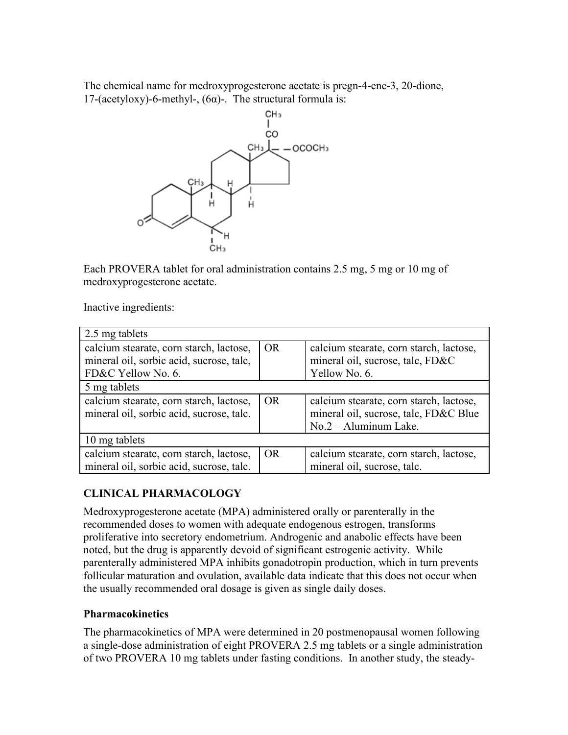The chemical name for medroxyprogesterone acetate is pregn-4-ene-3, 20-dione, 17-(acetyloxy)-6-methyl-, (6 $\alpha$ )-. The structural formula is:



Each PROVERA tablet for oral administration contains 2.5 mg, 5 mg or 10 mg of medroxyprogesterone acetate.

Inactive ingredients:

| 2.5 mg tablets                                                                                            |           |                                                                                                             |
|-----------------------------------------------------------------------------------------------------------|-----------|-------------------------------------------------------------------------------------------------------------|
| calcium stearate, corn starch, lactose,<br>mineral oil, sorbic acid, sucrose, talc,<br>FD&C Yellow No. 6. | <b>OR</b> | calcium stearate, corn starch, lactose,<br>mineral oil, sucrose, talc, FD&C<br>Yellow No. 6.                |
| 5 mg tablets                                                                                              |           |                                                                                                             |
| calcium stearate, corn starch, lactose,<br>mineral oil, sorbic acid, sucrose, talc.                       | <b>OR</b> | calcium stearate, corn starch, lactose,<br>mineral oil, sucrose, talc, FD&C Blue<br>$No.2 - Aluninum Lake.$ |
| 10 mg tablets                                                                                             |           |                                                                                                             |
| calcium stearate, corn starch, lactose,<br>mineral oil, sorbic acid, sucrose, talc.                       | <b>OR</b> | calcium stearate, corn starch, lactose,<br>mineral oil, sucrose, talc.                                      |

# **CLINICAL PHARMACOLOGY**

Medroxyprogesterone acetate (MPA) administered orally or parenterally in the recommended doses to women with adequate endogenous estrogen, transforms proliferative into secretory endometrium. Androgenic and anabolic effects have been noted, but the drug is apparently devoid of significant estrogenic activity. While parenterally administered MPA inhibits gonadotropin production, which in turn prevents follicular maturation and ovulation, available data indicate that this does not occur when the usually recommended oral dosage is given as single daily doses.

## **Pharmacokinetics**

The pharmacokinetics of MPA were determined in 20 postmenopausal women following a single-dose administration of eight PROVERA 2.5 mg tablets or a single administration of two PROVERA 10 mg tablets under fasting conditions. In another study, the steady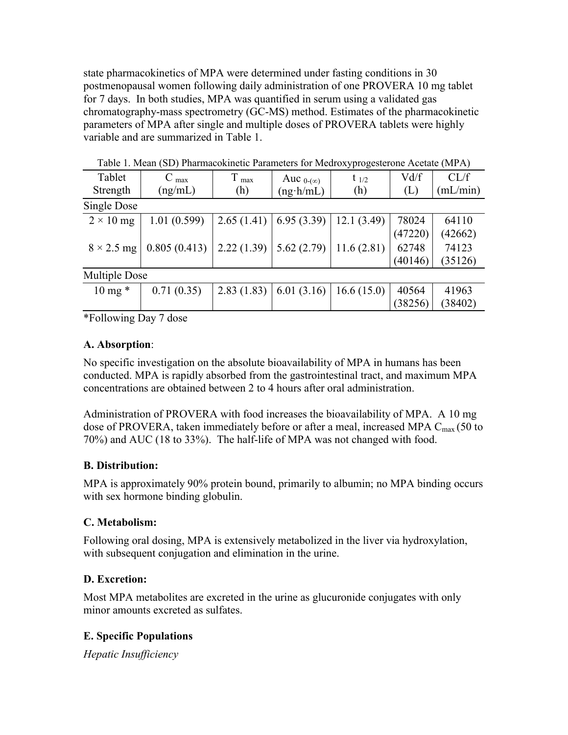state pharmacokinetics of MPA were determined under fasting conditions in 30 postmenopausal women following daily administration of one PROVERA 10 mg tablet for 7 days. In both studies, MPA was quantified in serum using a validated gas chromatography-mass spectrometry (GC-MS) method. Estimates of the pharmacokinetic parameters of MPA after single and multiple doses of PROVERA tablets were highly variable and are summarized in Table 1.

| Tablet               | max          | T<br>max   | Auc $_{0-(\infty)}$ | $t_{1/2}$  | Vd/f    | CL/f     |
|----------------------|--------------|------------|---------------------|------------|---------|----------|
| Strength             | (ng/mL)      | (h)        | $(ng \cdot h/mL)$   | (h)        | (L)     | (mL/min) |
| Single Dose          |              |            |                     |            |         |          |
| $2 \times 10$ mg     | 1.01(0.599)  | 2.65(1.41) | 6.95(3.39)          | 12.1(3.49) | 78024   | 64110    |
|                      |              |            |                     |            | (47220) | (42662)  |
| $8 \times 2.5$ mg    | 0.805(0.413) | 2.22(1.39) | 5.62(2.79)          | 11.6(2.81) | 62748   | 74123    |
|                      |              |            |                     |            | (40146) | (35126)  |
| <b>Multiple Dose</b> |              |            |                     |            |         |          |
| $10 \text{ mg}$ *    | 0.71(0.35)   | 2.83(1.83) | 6.01(3.16)          | 16.6(15.0) | 40564   | 41963    |
|                      |              |            |                     |            | (38256) | (38402)  |

Table 1. Mean (SD) Pharmacokinetic Parameters for Medroxyprogesterone Acetate (MPA)

\*Following Day 7 dose

## **A. Absorption**:

No specific investigation on the absolute bioavailability of MPA in humans has been conducted. MPA is rapidly absorbed from the gastrointestinal tract, and maximum MPA concentrations are obtained between 2 to 4 hours after oral administration.

Administration of PROVERA with food increases the bioavailability of MPA. A 10 mg dose of PROVERA, taken immediately before or after a meal, increased MPA  $C_{\text{max}}$  (50 to 70%) and AUC (18 to 33%). The half-life of MPA was not changed with food.

## **B. Distribution:**

MPA is approximately 90% protein bound, primarily to albumin; no MPA binding occurs with sex hormone binding globulin.

## **C. Metabolism:**

Following oral dosing, MPA is extensively metabolized in the liver via hydroxylation, with subsequent conjugation and elimination in the urine.

## **D. Excretion:**

Most MPA metabolites are excreted in the urine as glucuronide conjugates with only minor amounts excreted as sulfates.

## **E. Specific Populations**

*Hepatic Insufficiency*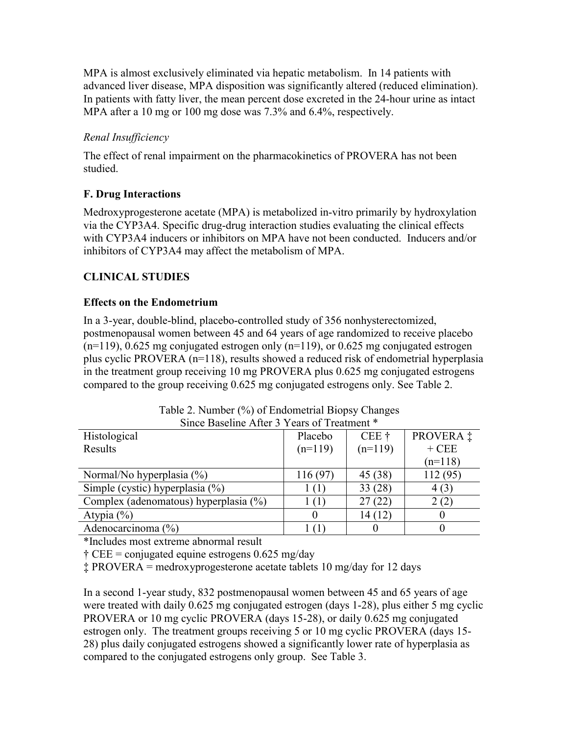MPA is almost exclusively eliminated via hepatic metabolism. In 14 patients with advanced liver disease, MPA disposition was significantly altered (reduced elimination). In patients with fatty liver, the mean percent dose excreted in the 24-hour urine as intact MPA after a 10 mg or 100 mg dose was 7.3% and 6.4%, respectively.

# *Renal Insufficiency*

The effect of renal impairment on the pharmacokinetics of PROVERA has not been studied.

# **F. Drug Interactions**

Medroxyprogesterone acetate (MPA) is metabolized in-vitro primarily by hydroxylation via the CYP3A4. Specific drug-drug interaction studies evaluating the clinical effects with CYP3A4 inducers or inhibitors on MPA have not been conducted. Inducers and/or inhibitors of CYP3A4 may affect the metabolism of MPA.

# **CLINICAL STUDIES**

## **Effects on the Endometrium**

In a 3-year, double-blind, placebo-controlled study of 356 nonhysterectomized, postmenopausal women between 45 and 64 years of age randomized to receive placebo  $(n=119)$ , 0.625 mg conjugated estrogen only  $(n=119)$ , or 0.625 mg conjugated estrogen plus cyclic PROVERA (n=118), results showed a reduced risk of endometrial hyperplasia in the treatment group receiving 10 mg PROVERA plus 0.625 mg conjugated estrogens compared to the group receiving 0.625 mg conjugated estrogens only. See Table 2.

| Histological                          | Placebo        | $CEE$ †   | PROVERA ‡ |
|---------------------------------------|----------------|-----------|-----------|
| Results                               | $(n=119)$      | $(n=119)$ | $+$ CEE   |
|                                       |                |           | $(n=118)$ |
| Normal/No hyperplasia $(\% )$         | 116 (97)       | 45 (38)   | 112(95)   |
| Simple (cystic) hyperplasia $(\%)$    | <sup>(1)</sup> | 33(28)    | 4(3)      |
| Complex (adenomatous) hyperplasia (%) | 1 (1           | 27 (22)   | 2(2)      |
| Atypia $(\% )$                        |                | 14 (12)   |           |
| Adenocarcinoma $(\%)$                 |                |           |           |

Table 2. Number (%) of Endometrial Biopsy Changes Since Baseline After 3 Years of Treatment \*

\*Includes most extreme abnormal result

 $\ddagger$  CEE = conjugated equine estrogens 0.625 mg/day

‡ PROVERA = medroxyprogesterone acetate tablets 10 mg/day for 12 days

In a second 1-year study, 832 postmenopausal women between 45 and 65 years of age were treated with daily 0.625 mg conjugated estrogen (days 1-28), plus either 5 mg cyclic PROVERA or 10 mg cyclic PROVERA (days 15-28), or daily 0.625 mg conjugated estrogen only. The treatment groups receiving 5 or 10 mg cyclic PROVERA (days 15- 28) plus daily conjugated estrogens showed a significantly lower rate of hyperplasia as compared to the conjugated estrogens only group. See Table 3.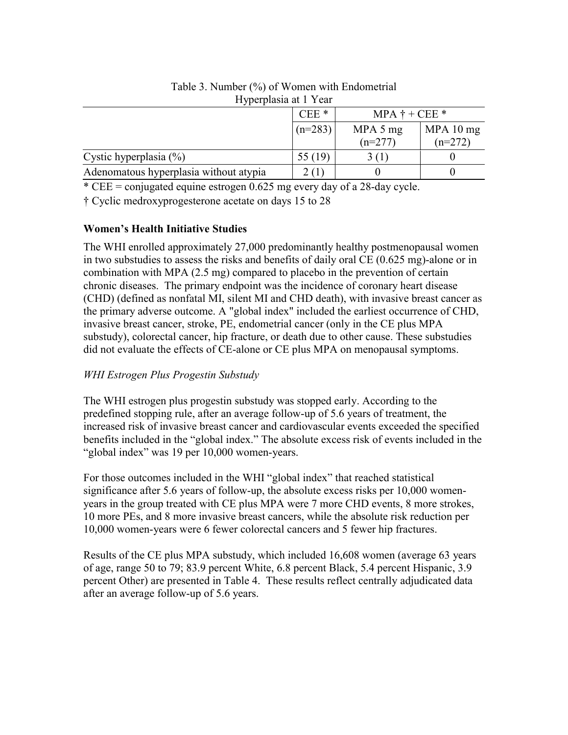|                                        | $CEE*$<br>$MPA \dagger + CEE$ * |           |           |
|----------------------------------------|---------------------------------|-----------|-----------|
|                                        | $(n=283)$                       | MPA 5 mg  | MPA 10 mg |
|                                        |                                 | $(n=277)$ | $(n=272)$ |
| Cystic hyperplasia $(\%)$              | 55 $(19)$                       | 3(1)      |           |
| Adenomatous hyperplasia without atypia | 2(1)                            |           |           |

Table 3. Number (%) of Women with Endometrial Hyperplasia at 1 Year

\* CEE = conjugated equine estrogen 0.625 mg every day of a 28-day cycle.

† Cyclic medroxyprogesterone acetate on days 15 to 28

## **Women's Health Initiative Studies**

The WHI enrolled approximately 27,000 predominantly healthy postmenopausal women in two substudies to assess the risks and benefits of daily oral CE (0.625 mg)-alone or in combination with MPA (2.5 mg) compared to placebo in the prevention of certain chronic diseases. The primary endpoint was the incidence of coronary heart disease (CHD) (defined as nonfatal MI, silent MI and CHD death), with invasive breast cancer as the primary adverse outcome. A "global index" included the earliest occurrence of CHD, invasive breast cancer, stroke, PE, endometrial cancer (only in the CE plus MPA substudy), colorectal cancer, hip fracture, or death due to other cause. These substudies did not evaluate the effects of CE-alone or CE plus MPA on menopausal symptoms.

## *WHI Estrogen Plus Progestin Substudy*

The WHI estrogen plus progestin substudy was stopped early. According to the predefined stopping rule, after an average follow-up of 5.6 years of treatment, the increased risk of invasive breast cancer and cardiovascular events exceeded the specified benefits included in the "global index." The absolute excess risk of events included in the "global index" was 19 per 10,000 women-years.

For those outcomes included in the WHI "global index" that reached statistical significance after 5.6 years of follow-up, the absolute excess risks per 10,000 womenyears in the group treated with CE plus MPA were 7 more CHD events, 8 more strokes, 10 more PEs, and 8 more invasive breast cancers, while the absolute risk reduction per 10,000 women-years were 6 fewer colorectal cancers and 5 fewer hip fractures.

Results of the CE plus MPA substudy, which included 16,608 women (average 63 years of age, range 50 to 79; 83.9 percent White, 6.8 percent Black, 5.4 percent Hispanic, 3.9 percent Other) are presented in Table 4. These results reflect centrally adjudicated data after an average follow-up of 5.6 years.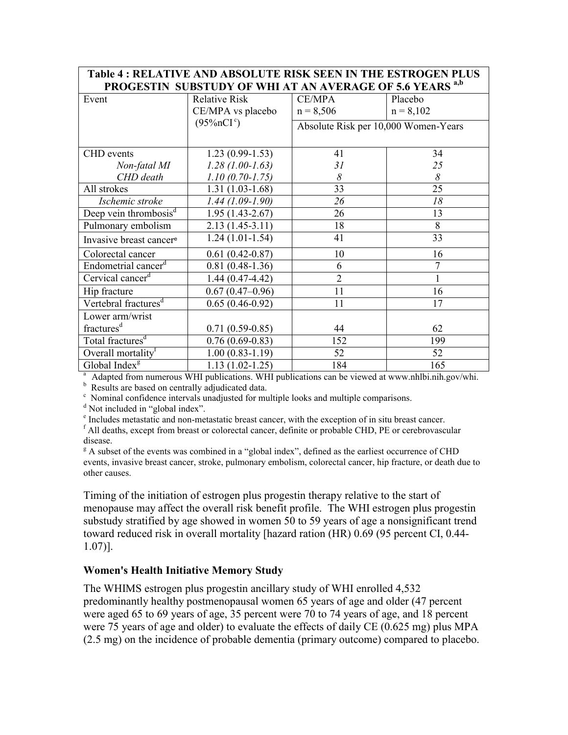| TADIC 4, INELFATIVE AND ADSOLUTE INSIN SEEN IN THE ESTINOUENT LOS<br>PROGESTIN SUBSTUDY OF WHI AT AN AVERAGE OF 5.6 YEARS <sup>a,b</sup> |                      |                |                                      |  |  |
|------------------------------------------------------------------------------------------------------------------------------------------|----------------------|----------------|--------------------------------------|--|--|
|                                                                                                                                          |                      |                |                                      |  |  |
| Event                                                                                                                                    | <b>Relative Risk</b> | <b>CE/MPA</b>  | Placebo                              |  |  |
|                                                                                                                                          | CE/MPA vs placebo    | $n = 8,506$    | $n = 8,102$                          |  |  |
|                                                                                                                                          | $(95\%nCIc)$         |                | Absolute Risk per 10,000 Women-Years |  |  |
|                                                                                                                                          |                      |                |                                      |  |  |
| <b>CHD</b> events                                                                                                                        | $1.23(0.99-1.53)$    | 41             | 34                                   |  |  |
| Non-fatal MI                                                                                                                             | $1.28(1.00-1.63)$    | 31             | 25                                   |  |  |
| CHD death                                                                                                                                | $1.10(0.70-1.75)$    | 8              | 8                                    |  |  |
| All strokes                                                                                                                              | $1.31(1.03-1.68)$    | 33             | 25                                   |  |  |
| Ischemic stroke                                                                                                                          | $1.44(1.09-1.90)$    | 26             | 18                                   |  |  |
| Deep vein thrombosis <sup>d</sup>                                                                                                        | $1.95(1.43-2.67)$    | 26             | 13                                   |  |  |
| Pulmonary embolism                                                                                                                       | $2.13(1.45-3.11)$    | 18             | 8                                    |  |  |
| Invasive breast cancer <sup>e</sup>                                                                                                      | $1.24(1.01-1.54)$    | 41             | 33                                   |  |  |
| Colorectal cancer                                                                                                                        | $0.61(0.42 - 0.87)$  | 10             | 16                                   |  |  |
| Endometrial cancer <sup>d</sup>                                                                                                          | $0.81(0.48-1.36)$    | 6              | 7                                    |  |  |
| Cervical cancer <sup>d</sup>                                                                                                             | $1.44(0.47-4.42)$    | $\overline{2}$ |                                      |  |  |
| Hip fracture                                                                                                                             | $0.67(0.47-0.96)$    | 11             | 16                                   |  |  |
| Vertebral fractures <sup>d</sup>                                                                                                         | $0.65(0.46-0.92)$    | 11             | 17                                   |  |  |
| Lower arm/wrist                                                                                                                          |                      |                |                                      |  |  |
| fractures <sup>d</sup>                                                                                                                   | $0.71(0.59-0.85)$    | 44             | 62                                   |  |  |
| Total fractures <sup>d</sup>                                                                                                             | $0.76(0.69-0.83)$    | 152            | 199                                  |  |  |
| Overall mortality <sup>f</sup>                                                                                                           | $1.00(0.83-1.19)$    | 52             | 52                                   |  |  |
| Global Index <sup>g</sup>                                                                                                                | $1.13(1.02-1.25)$    | 184            | 165                                  |  |  |

# **Table 4 : RELATIVE AND ABSOLUTE RISK SEEN IN THE ESTROGEN PLUS**

<sup>a</sup> Adapted from numerous WHI publications. WHI publications can be viewed at www.nhlbi.nih.gov/whi.

<sup>b</sup> Results are based on centrally adjudicated data.

<sup>c</sup> Nominal confidence intervals unadjusted for multiple looks and multiple comparisons.

<sup>d</sup> Not included in "global index".

Г

e Includes metastatic and non-metastatic breast cancer, with the exception of in situ breast cancer.

<sup>f</sup> All deaths, except from breast or colorectal cancer, definite or probable CHD, PE or cerebrovascular disease.

<sup>g</sup> A subset of the events was combined in a "global index", defined as the earliest occurrence of CHD events, invasive breast cancer, stroke, pulmonary embolism, colorectal cancer, hip fracture, or death due to other causes.

Timing of the initiation of estrogen plus progestin therapy relative to the start of menopause may affect the overall risk benefit profile. The WHI estrogen plus progestin substudy stratified by age showed in women 50 to 59 years of age a nonsignificant trend toward reduced risk in overall mortality [hazard ration (HR) 0.69 (95 percent CI, 0.44- 1.07)].

#### **Women's Health Initiative Memory Study**

The WHIMS estrogen plus progestin ancillary study of WHI enrolled 4,532 predominantly healthy postmenopausal women 65 years of age and older (47 percent were aged 65 to 69 years of age, 35 percent were 70 to 74 years of age, and 18 percent were 75 years of age and older) to evaluate the effects of daily CE (0.625 mg) plus MPA (2.5 mg) on the incidence of probable dementia (primary outcome) compared to placebo.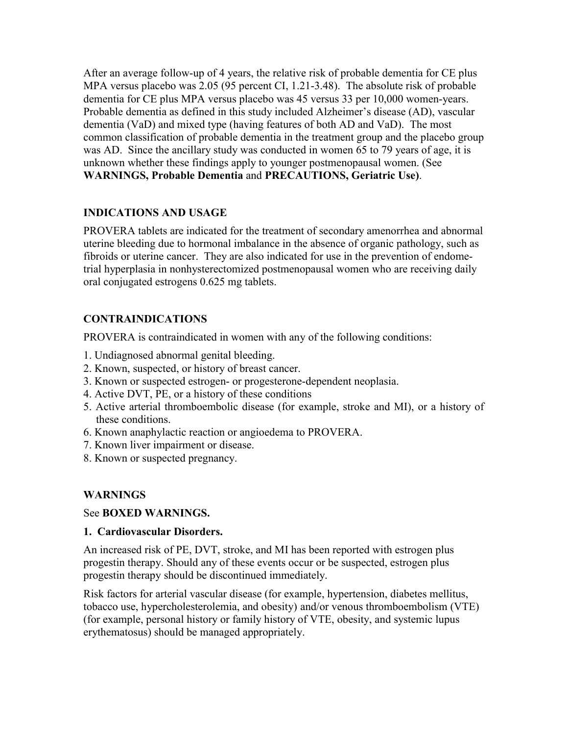After an average follow-up of 4 years, the relative risk of probable dementia for CE plus MPA versus placebo was 2.05 (95 percent CI, 1.21-3.48). The absolute risk of probable dementia for CE plus MPA versus placebo was 45 versus 33 per 10,000 women-years. Probable dementia as defined in this study included Alzheimer's disease (AD), vascular dementia (VaD) and mixed type (having features of both AD and VaD). The most common classification of probable dementia in the treatment group and the placebo group was AD. Since the ancillary study was conducted in women 65 to 79 years of age, it is unknown whether these findings apply to younger postmenopausal women. (See **WARNINGS, Probable Dementia** and **PRECAUTIONS, Geriatric Use)**.

## **INDICATIONS AND USAGE**

PROVERA tablets are indicated for the treatment of secondary amenorrhea and abnormal uterine bleeding due to hormonal imbalance in the absence of organic pathology, such as fibroids or uterine cancer. They are also indicated for use in the prevention of endometrial hyperplasia in nonhysterectomized postmenopausal women who are receiving daily oral conjugated estrogens 0.625 mg tablets.

# **CONTRAINDICATIONS**

PROVERA is contraindicated in women with any of the following conditions:

- 1. Undiagnosed abnormal genital bleeding.
- 2. Known, suspected, or history of breast cancer.
- 3. Known or suspected estrogen- or progesterone-dependent neoplasia.
- 4. Active DVT, PE, or a history of these conditions
- 5. Active arterial thromboembolic disease (for example, stroke and MI), or a history of these conditions.
- 6. Known anaphylactic reaction or angioedema to PROVERA.
- 7. Known liver impairment or disease.
- 8. Known or suspected pregnancy.

## **WARNINGS**

See **BOXED WARNINGS.**

## **1. Cardiovascular Disorders.**

An increased risk of PE, DVT, stroke, and MI has been reported with estrogen plus progestin therapy. Should any of these events occur or be suspected, estrogen plus progestin therapy should be discontinued immediately.

Risk factors for arterial vascular disease (for example, hypertension, diabetes mellitus, tobacco use, hypercholesterolemia, and obesity) and/or venous thromboembolism (VTE) (for example, personal history or family history of VTE, obesity, and systemic lupus erythematosus) should be managed appropriately.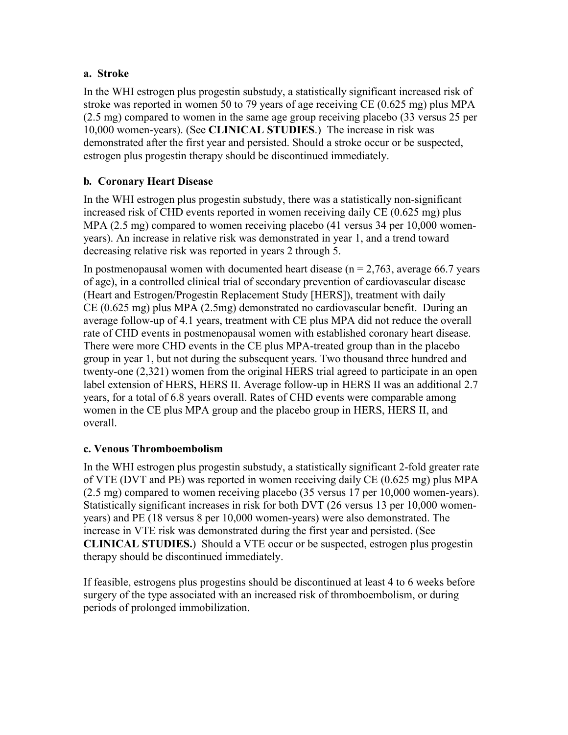## **a. Stroke**

In the WHI estrogen plus progestin substudy, a statistically significant increased risk of stroke was reported in women 50 to 79 years of age receiving CE (0.625 mg) plus MPA (2.5 mg) compared to women in the same age group receiving placebo (33 versus 25 per 10,000 women-years). (See **CLINICAL STUDIES**.) The increase in risk was demonstrated after the first year and persisted. Should a stroke occur or be suspected, estrogen plus progestin therapy should be discontinued immediately.

# **b***.* **Coronary Heart Disease**

In the WHI estrogen plus progestin substudy, there was a statistically non-significant increased risk of CHD events reported in women receiving daily CE (0.625 mg) plus MPA (2.5 mg) compared to women receiving placebo (41 versus 34 per 10,000 womenyears). An increase in relative risk was demonstrated in year 1, and a trend toward decreasing relative risk was reported in years 2 through 5.

In postmenopausal women with documented heart disease ( $n = 2.763$ , average 66.7 years of age), in a controlled clinical trial of secondary prevention of cardiovascular disease (Heart and Estrogen/Progestin Replacement Study [HERS]), treatment with daily CE (0.625 mg) plus MPA (2.5mg) demonstrated no cardiovascular benefit. During an average follow-up of 4.1 years, treatment with CE plus MPA did not reduce the overall rate of CHD events in postmenopausal women with established coronary heart disease. There were more CHD events in the CE plus MPA-treated group than in the placebo group in year 1, but not during the subsequent years. Two thousand three hundred and twenty-one (2,321) women from the original HERS trial agreed to participate in an open label extension of HERS, HERS II. Average follow-up in HERS II was an additional 2.7 years, for a total of 6.8 years overall. Rates of CHD events were comparable among women in the CE plus MPA group and the placebo group in HERS, HERS II, and overall.

# **c. Venous Thromboembolism**

In the WHI estrogen plus progestin substudy, a statistically significant 2-fold greater rate of VTE (DVT and PE) was reported in women receiving daily CE (0.625 mg) plus MPA (2.5 mg) compared to women receiving placebo (35 versus 17 per 10,000 women-years). Statistically significant increases in risk for both DVT (26 versus 13 per 10,000 womenyears) and PE (18 versus 8 per 10,000 women-years) were also demonstrated. The increase in VTE risk was demonstrated during the first year and persisted. (See **CLINICAL STUDIES.**) Should a VTE occur or be suspected, estrogen plus progestin therapy should be discontinued immediately.

If feasible, estrogens plus progestins should be discontinued at least 4 to 6 weeks before surgery of the type associated with an increased risk of thromboembolism, or during periods of prolonged immobilization.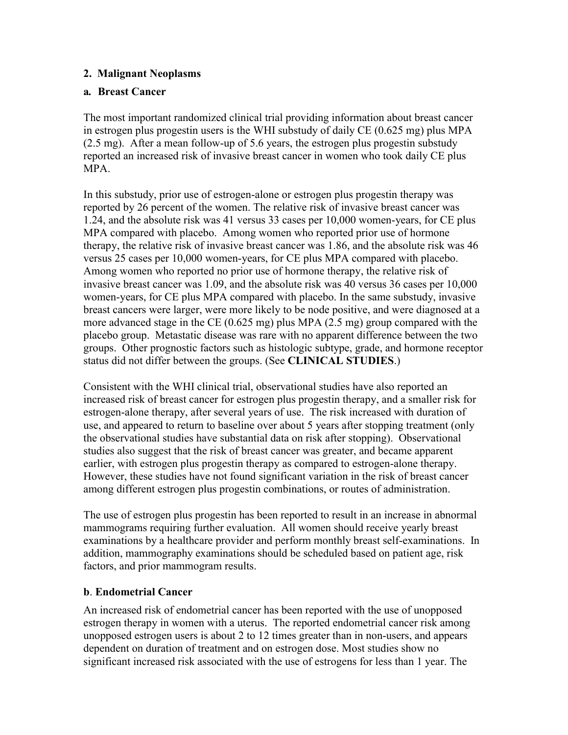## **2. Malignant Neoplasms**

## **a***.* **Breast Cancer**

The most important randomized clinical trial providing information about breast cancer in estrogen plus progestin users is the WHI substudy of daily CE (0.625 mg) plus MPA (2.5 mg). After a mean follow-up of 5.6 years, the estrogen plus progestin substudy reported an increased risk of invasive breast cancer in women who took daily CE plus MPA.

In this substudy, prior use of estrogen-alone or estrogen plus progestin therapy was reported by 26 percent of the women. The relative risk of invasive breast cancer was 1.24, and the absolute risk was 41 versus 33 cases per 10,000 women-years, for CE plus MPA compared with placebo. Among women who reported prior use of hormone therapy, the relative risk of invasive breast cancer was 1.86, and the absolute risk was 46 versus 25 cases per 10,000 women-years, for CE plus MPA compared with placebo. Among women who reported no prior use of hormone therapy, the relative risk of invasive breast cancer was 1.09, and the absolute risk was 40 versus 36 cases per 10,000 women-years, for CE plus MPA compared with placebo. In the same substudy, invasive breast cancers were larger, were more likely to be node positive, and were diagnosed at a more advanced stage in the CE (0.625 mg) plus MPA (2.5 mg) group compared with the placebo group. Metastatic disease was rare with no apparent difference between the two groups. Other prognostic factors such as histologic subtype, grade, and hormone receptor status did not differ between the groups. (See **CLINICAL STUDIES**.)

Consistent with the WHI clinical trial, observational studies have also reported an increased risk of breast cancer for estrogen plus progestin therapy, and a smaller risk for estrogen-alone therapy, after several years of use. The risk increased with duration of use, and appeared to return to baseline over about 5 years after stopping treatment (only the observational studies have substantial data on risk after stopping). Observational studies also suggest that the risk of breast cancer was greater, and became apparent earlier, with estrogen plus progestin therapy as compared to estrogen-alone therapy. However, these studies have not found significant variation in the risk of breast cancer among different estrogen plus progestin combinations, or routes of administration.

The use of estrogen plus progestin has been reported to result in an increase in abnormal mammograms requiring further evaluation. All women should receive yearly breast examinations by a healthcare provider and perform monthly breast self-examinations. In addition, mammography examinations should be scheduled based on patient age, risk factors, and prior mammogram results.

#### **b**. **Endometrial Cancer**

An increased risk of endometrial cancer has been reported with the use of unopposed estrogen therapy in women with a uterus. The reported endometrial cancer risk among unopposed estrogen users is about 2 to 12 times greater than in non-users, and appears dependent on duration of treatment and on estrogen dose. Most studies show no significant increased risk associated with the use of estrogens for less than 1 year. The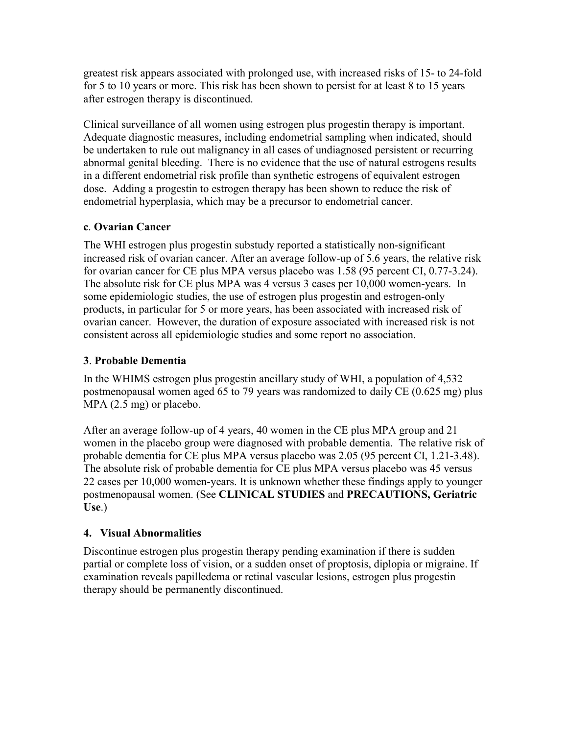greatest risk appears associated with prolonged use, with increased risks of 15- to 24-fold for 5 to 10 years or more. This risk has been shown to persist for at least 8 to 15 years after estrogen therapy is discontinued.

Clinical surveillance of all women using estrogen plus progestin therapy is important. Adequate diagnostic measures, including endometrial sampling when indicated, should be undertaken to rule out malignancy in all cases of undiagnosed persistent or recurring abnormal genital bleeding. There is no evidence that the use of natural estrogens results in a different endometrial risk profile than synthetic estrogens of equivalent estrogen dose. Adding a progestin to estrogen therapy has been shown to reduce the risk of endometrial hyperplasia, which may be a precursor to endometrial cancer.

## **c**. **Ovarian Cancer**

The WHI estrogen plus progestin substudy reported a statistically non-significant increased risk of ovarian cancer. After an average follow-up of 5.6 years, the relative risk for ovarian cancer for CE plus MPA versus placebo was 1.58 (95 percent CI, 0.77-3.24). The absolute risk for CE plus MPA was 4 versus 3 cases per 10,000 women-years. In some epidemiologic studies, the use of estrogen plus progestin and estrogen-only products, in particular for 5 or more years, has been associated with increased risk of ovarian cancer. However, the duration of exposure associated with increased risk is not consistent across all epidemiologic studies and some report no association.

## **3**. **Probable Dementia**

In the WHIMS estrogen plus progestin ancillary study of WHI, a population of 4,532 postmenopausal women aged 65 to 79 years was randomized to daily CE (0.625 mg) plus MPA (2.5 mg) or placebo.

After an average follow-up of 4 years, 40 women in the CE plus MPA group and 21 women in the placebo group were diagnosed with probable dementia. The relative risk of probable dementia for CE plus MPA versus placebo was 2.05 (95 percent CI, 1.21-3.48). The absolute risk of probable dementia for CE plus MPA versus placebo was 45 versus 22 cases per 10,000 women-years. It is unknown whether these findings apply to younger postmenopausal women. (See **CLINICAL STUDIES** and **PRECAUTIONS, Geriatric Use**.)

## **4. Visual Abnormalities**

Discontinue estrogen plus progestin therapy pending examination if there is sudden partial or complete loss of vision, or a sudden onset of proptosis, diplopia or migraine. If examination reveals papilledema or retinal vascular lesions, estrogen plus progestin therapy should be permanently discontinued.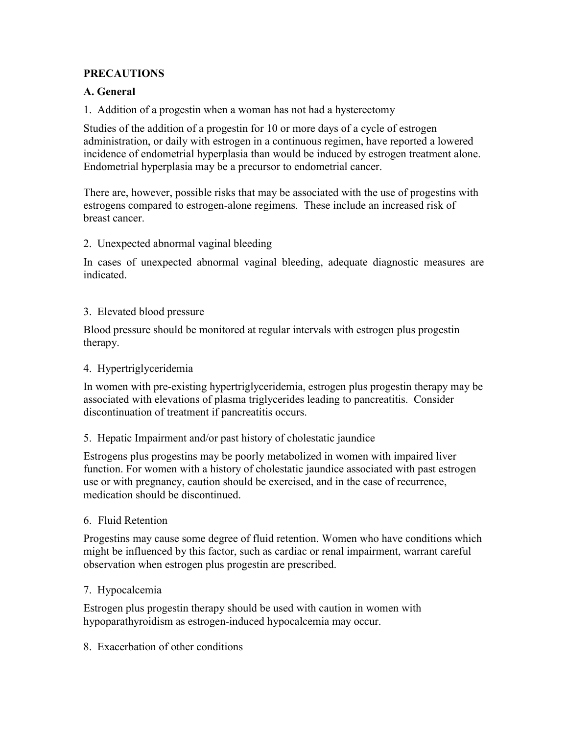## **PRECAUTIONS**

## **A. General**

1. Addition of a progestin when a woman has not had a hysterectomy

Studies of the addition of a progestin for 10 or more days of a cycle of estrogen administration, or daily with estrogen in a continuous regimen, have reported a lowered incidence of endometrial hyperplasia than would be induced by estrogen treatment alone. Endometrial hyperplasia may be a precursor to endometrial cancer.

There are, however, possible risks that may be associated with the use of progestins with estrogens compared to estrogen-alone regimens. These include an increased risk of breast cancer.

2. Unexpected abnormal vaginal bleeding

In cases of unexpected abnormal vaginal bleeding, adequate diagnostic measures are indicated.

## 3. Elevated blood pressure

Blood pressure should be monitored at regular intervals with estrogen plus progestin therapy.

## 4. Hypertriglyceridemia

In women with pre-existing hypertriglyceridemia, estrogen plus progestin therapy may be associated with elevations of plasma triglycerides leading to pancreatitis. Consider discontinuation of treatment if pancreatitis occurs.

## 5. Hepatic Impairment and/or past history of cholestatic jaundice

Estrogens plus progestins may be poorly metabolized in women with impaired liver function. For women with a history of cholestatic jaundice associated with past estrogen use or with pregnancy, caution should be exercised, and in the case of recurrence, medication should be discontinued.

## 6. Fluid Retention

Progestins may cause some degree of fluid retention. Women who have conditions which might be influenced by this factor, such as cardiac or renal impairment, warrant careful observation when estrogen plus progestin are prescribed.

## 7. Hypocalcemia

Estrogen plus progestin therapy should be used with caution in women with hypoparathyroidism as estrogen-induced hypocalcemia may occur.

#### 8. Exacerbation of other conditions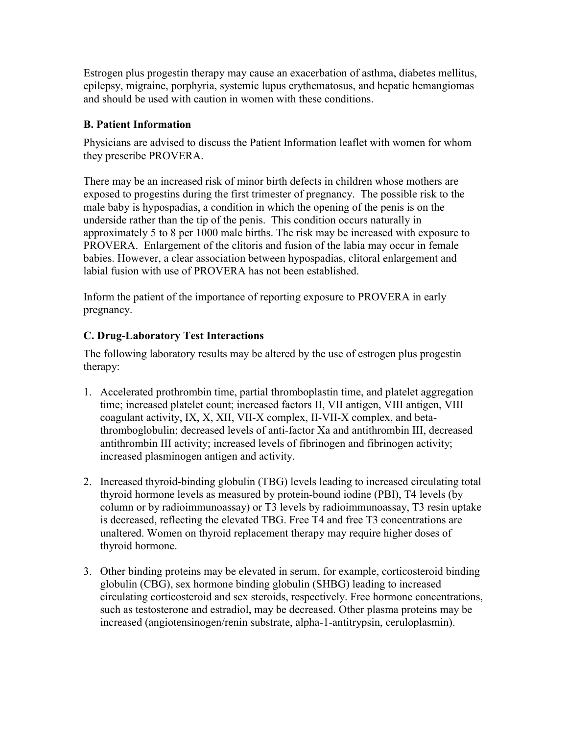Estrogen plus progestin therapy may cause an exacerbation of asthma, diabetes mellitus, epilepsy, migraine, porphyria, systemic lupus erythematosus, and hepatic hemangiomas and should be used with caution in women with these conditions.

## **B. Patient Information**

Physicians are advised to discuss the Patient Information leaflet with women for whom they prescribe PROVERA.

There may be an increased risk of minor birth defects in children whose mothers are exposed to progestins during the first trimester of pregnancy. The possible risk to the male baby is hypospadias, a condition in which the opening of the penis is on the underside rather than the tip of the penis. This condition occurs naturally in approximately 5 to 8 per 1000 male births. The risk may be increased with exposure to PROVERA. Enlargement of the clitoris and fusion of the labia may occur in female babies. However, a clear association between hypospadias, clitoral enlargement and labial fusion with use of PROVERA has not been established.

Inform the patient of the importance of reporting exposure to PROVERA in early pregnancy.

# **C. Drug-Laboratory Test Interactions**

The following laboratory results may be altered by the use of estrogen plus progestin therapy:

- 1. Accelerated prothrombin time, partial thromboplastin time, and platelet aggregation time; increased platelet count; increased factors II, VII antigen, VIII antigen, VIII coagulant activity, IX, X, XII, VII-X complex, II-VII-X complex, and betathromboglobulin; decreased levels of anti-factor Xa and antithrombin III, decreased antithrombin III activity; increased levels of fibrinogen and fibrinogen activity; increased plasminogen antigen and activity.
- 2. Increased thyroid-binding globulin (TBG) levels leading to increased circulating total thyroid hormone levels as measured by protein-bound iodine (PBI), T4 levels (by column or by radioimmunoassay) or T3 levels by radioimmunoassay, T3 resin uptake is decreased, reflecting the elevated TBG. Free T4 and free T3 concentrations are unaltered. Women on thyroid replacement therapy may require higher doses of thyroid hormone.
- 3. Other binding proteins may be elevated in serum, for example, corticosteroid binding globulin (CBG), sex hormone binding globulin (SHBG) leading to increased circulating corticosteroid and sex steroids, respectively. Free hormone concentrations, such as testosterone and estradiol, may be decreased. Other plasma proteins may be increased (angiotensinogen/renin substrate, alpha-1-antitrypsin, ceruloplasmin).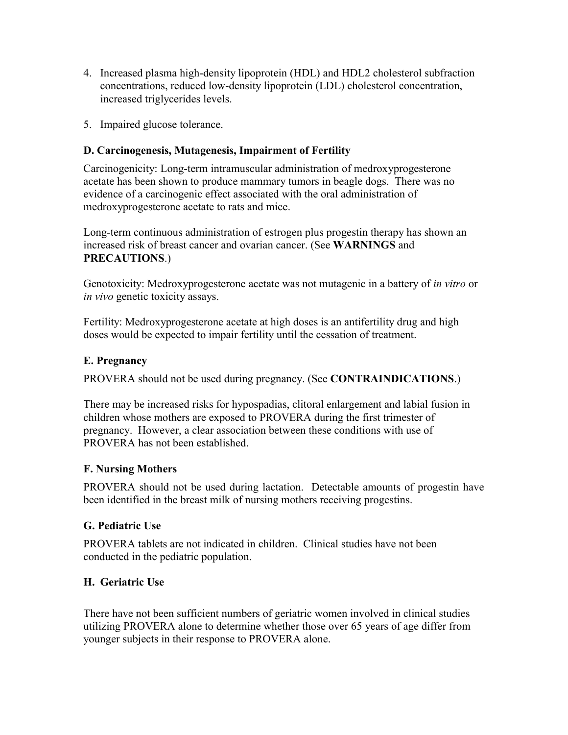- 4. Increased plasma high-density lipoprotein (HDL) and HDL2 cholesterol subfraction concentrations, reduced low-density lipoprotein (LDL) cholesterol concentration, increased triglycerides levels.
- 5. Impaired glucose tolerance.

# **D. Carcinogenesis, Mutagenesis, Impairment of Fertility**

Carcinogenicity: Long-term intramuscular administration of medroxyprogesterone acetate has been shown to produce mammary tumors in beagle dogs. There was no evidence of a carcinogenic effect associated with the oral administration of medroxyprogesterone acetate to rats and mice.

Long-term continuous administration of estrogen plus progestin therapy has shown an increased risk of breast cancer and ovarian cancer. (See **WARNINGS** and **PRECAUTIONS**.)

Genotoxicity: Medroxyprogesterone acetate was not mutagenic in a battery of *in vitro* or *in vivo* genetic toxicity assays.

Fertility: Medroxyprogesterone acetate at high doses is an antifertility drug and high doses would be expected to impair fertility until the cessation of treatment.

## **E. Pregnancy**

PROVERA should not be used during pregnancy. (See **CONTRAINDICATIONS**.)

There may be increased risks for hypospadias, clitoral enlargement and labial fusion in children whose mothers are exposed to PROVERA during the first trimester of pregnancy. However, a clear association between these conditions with use of PROVERA has not been established.

# **F. Nursing Mothers**

PROVERA should not be used during lactation. Detectable amounts of progestin have been identified in the breast milk of nursing mothers receiving progestins.

# **G. Pediatric Use**

PROVERA tablets are not indicated in children. Clinical studies have not been conducted in the pediatric population.

# **H. Geriatric Use**

There have not been sufficient numbers of geriatric women involved in clinical studies utilizing PROVERA alone to determine whether those over 65 years of age differ from younger subjects in their response to PROVERA alone.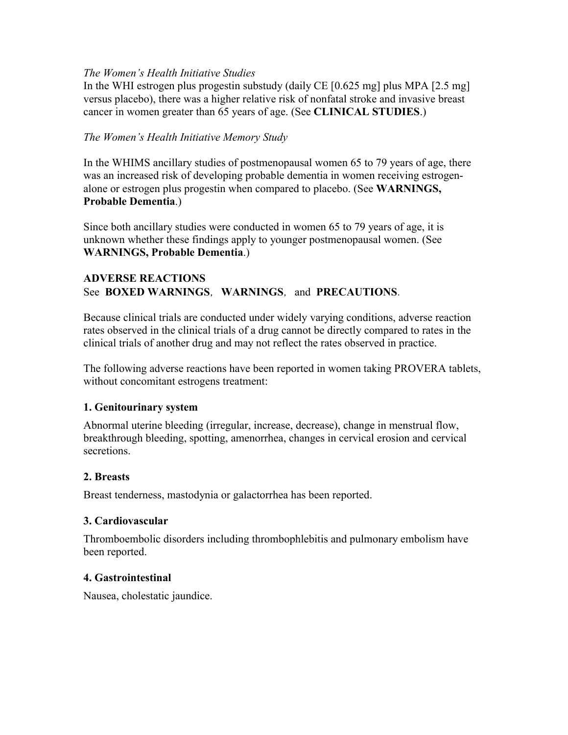#### *The Women's Health Initiative Studies*

In the WHI estrogen plus progestin substudy (daily CE  $[0.625 \text{ mg}]$  plus MPA  $[2.5 \text{ mg}]$ ) versus placebo), there was a higher relative risk of nonfatal stroke and invasive breast cancer in women greater than 65 years of age. (See **CLINICAL STUDIES**.)

## *The Women's Health Initiative Memory Study*

In the WHIMS ancillary studies of postmenopausal women 65 to 79 years of age, there was an increased risk of developing probable dementia in women receiving estrogenalone or estrogen plus progestin when compared to placebo. (See **WARNINGS, Probable Dementia**.)

Since both ancillary studies were conducted in women 65 to 79 years of age, it is unknown whether these findings apply to younger postmenopausal women. (See **WARNINGS, Probable Dementia**.)

#### **ADVERSE REACTIONS** See **BOXED WARNINGS**, **WARNINGS**, and **PRECAUTIONS**.

Because clinical trials are conducted under widely varying conditions, adverse reaction rates observed in the clinical trials of a drug cannot be directly compared to rates in the clinical trials of another drug and may not reflect the rates observed in practice.

The following adverse reactions have been reported in women taking PROVERA tablets, without concomitant estrogens treatment:

## **1. Genitourinary system**

Abnormal uterine bleeding (irregular, increase, decrease), change in menstrual flow, breakthrough bleeding, spotting, amenorrhea, changes in cervical erosion and cervical secretions.

#### **2. Breasts**

Breast tenderness, mastodynia or galactorrhea has been reported.

## **3. Cardiovascular**

Thromboembolic disorders including thrombophlebitis and pulmonary embolism have been reported.

#### **4. Gastrointestinal**

Nausea, cholestatic jaundice.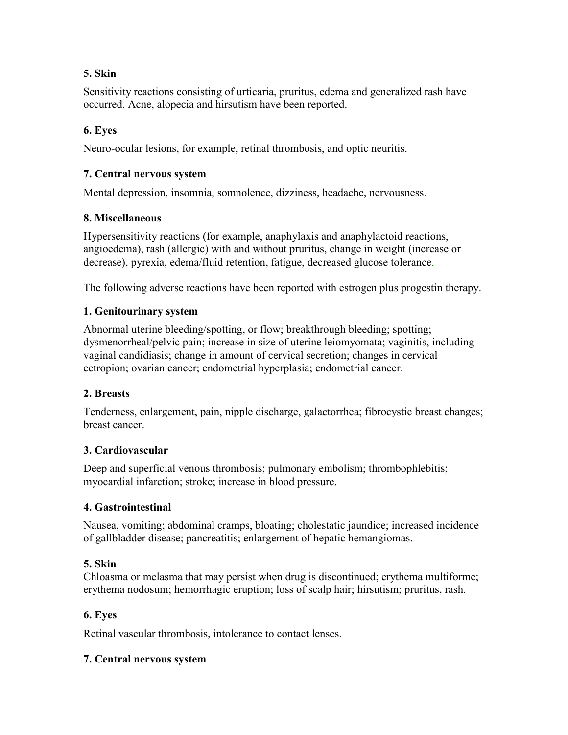# **5. Skin**

Sensitivity reactions consisting of urticaria, pruritus, edema and generalized rash have occurred. Acne, alopecia and hirsutism have been reported.

# **6. Eyes**

Neuro-ocular lesions, for example, retinal thrombosis, and optic neuritis.

## **7. Central nervous system**

Mental depression, insomnia, somnolence, dizziness, headache, nervousness.

## **8. Miscellaneous**

Hypersensitivity reactions (for example, anaphylaxis and anaphylactoid reactions, angioedema), rash (allergic) with and without pruritus, change in weight (increase or decrease), pyrexia, edema/fluid retention, fatigue, decreased glucose tolerance.

The following adverse reactions have been reported with estrogen plus progestin therapy.

## **1. Genitourinary system**

Abnormal uterine bleeding/spotting, or flow; breakthrough bleeding; spotting; dysmenorrheal/pelvic pain; increase in size of uterine leiomyomata; vaginitis, including vaginal candidiasis; change in amount of cervical secretion; changes in cervical ectropion; ovarian cancer; endometrial hyperplasia; endometrial cancer.

## **2. Breasts**

Tenderness, enlargement, pain, nipple discharge, galactorrhea; fibrocystic breast changes; breast cancer.

## **3. Cardiovascular**

Deep and superficial venous thrombosis; pulmonary embolism; thrombophlebitis; myocardial infarction; stroke; increase in blood pressure.

## **4. Gastrointestinal**

Nausea, vomiting; abdominal cramps, bloating; cholestatic jaundice; increased incidence of gallbladder disease; pancreatitis; enlargement of hepatic hemangiomas.

# **5. Skin**

Chloasma or melasma that may persist when drug is discontinued; erythema multiforme; erythema nodosum; hemorrhagic eruption; loss of scalp hair; hirsutism; pruritus, rash.

## **6. Eyes**

Retinal vascular thrombosis, intolerance to contact lenses.

## **7. Central nervous system**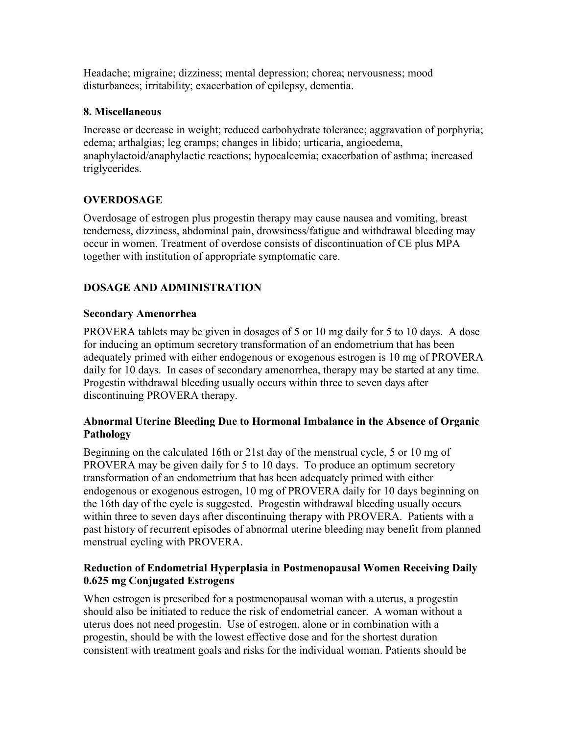Headache; migraine; dizziness; mental depression; chorea; nervousness; mood disturbances; irritability; exacerbation of epilepsy, dementia.

## **8. Miscellaneous**

Increase or decrease in weight; reduced carbohydrate tolerance; aggravation of porphyria; edema; arthalgias; leg cramps; changes in libido; urticaria, angioedema, anaphylactoid/anaphylactic reactions; hypocalcemia; exacerbation of asthma; increased triglycerides.

# **OVERDOSAGE**

Overdosage of estrogen plus progestin therapy may cause nausea and vomiting, breast tenderness, dizziness, abdominal pain, drowsiness/fatigue and withdrawal bleeding may occur in women. Treatment of overdose consists of discontinuation of CE plus MPA together with institution of appropriate symptomatic care.

# **DOSAGE AND ADMINISTRATION**

# **Secondary Amenorrhea**

PROVERA tablets may be given in dosages of 5 or 10 mg daily for 5 to 10 days. A dose for inducing an optimum secretory transformation of an endometrium that has been adequately primed with either endogenous or exogenous estrogen is 10 mg of PROVERA daily for 10 days. In cases of secondary amenorrhea, therapy may be started at any time. Progestin withdrawal bleeding usually occurs within three to seven days after discontinuing PROVERA therapy.

## **Abnormal Uterine Bleeding Due to Hormonal Imbalance in the Absence of Organic Pathology**

Beginning on the calculated 16th or 21st day of the menstrual cycle, 5 or 10 mg of PROVERA may be given daily for 5 to 10 days. To produce an optimum secretory transformation of an endometrium that has been adequately primed with either endogenous or exogenous estrogen, 10 mg of PROVERA daily for 10 days beginning on the 16th day of the cycle is suggested. Progestin withdrawal bleeding usually occurs within three to seven days after discontinuing therapy with PROVERA. Patients with a past history of recurrent episodes of abnormal uterine bleeding may benefit from planned menstrual cycling with PROVERA.

## **Reduction of Endometrial Hyperplasia in Postmenopausal Women Receiving Daily 0.625 mg Conjugated Estrogens**

When estrogen is prescribed for a postmenopausal woman with a uterus, a progestin should also be initiated to reduce the risk of endometrial cancer. A woman without a uterus does not need progestin. Use of estrogen, alone or in combination with a progestin, should be with the lowest effective dose and for the shortest duration consistent with treatment goals and risks for the individual woman. Patients should be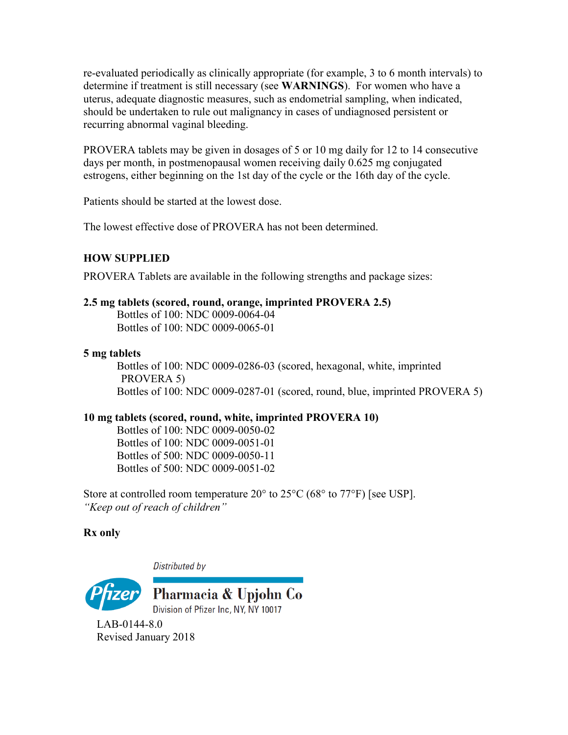re-evaluated periodically as clinically appropriate (for example, 3 to 6 month intervals) to determine if treatment is still necessary (see **WARNINGS**). For women who have a uterus, adequate diagnostic measures, such as endometrial sampling, when indicated, should be undertaken to rule out malignancy in cases of undiagnosed persistent or recurring abnormal vaginal bleeding.

PROVERA tablets may be given in dosages of 5 or 10 mg daily for 12 to 14 consecutive days per month, in postmenopausal women receiving daily 0.625 mg conjugated estrogens, either beginning on the 1st day of the cycle or the 16th day of the cycle.

Patients should be started at the lowest dose.

The lowest effective dose of PROVERA has not been determined.

# **HOW SUPPLIED**

PROVERA Tablets are available in the following strengths and package sizes:

## **2.5 mg tablets (scored, round, orange, imprinted PROVERA 2.5)**

Bottles of 100: NDC 0009-0064-04 Bottles of 100: NDC 0009-0065-01

## **5 mg tablets**

Bottles of 100: NDC 0009-0286-03 (scored, hexagonal, white, imprinted PROVERA 5) Bottles of 100: NDC 0009-0287-01 (scored, round, blue, imprinted PROVERA 5)

# **10 mg tablets (scored, round, white, imprinted PROVERA 10)**

Bottles of 100: NDC 0009-0050-02 Bottles of 100: NDC 0009-0051-01 Bottles of 500: NDC 0009-0050-11 Bottles of 500: NDC 0009-0051-02

Store at controlled room temperature 20° to 25°C (68° to 77°F) [see USP]. *"Keep out of reach of children"*

# **Rx only**

Distributed by



Pharmacia & Upjohn Co Division of Pfizer Inc, NY, NY 10017

LAB-0144-8.0 Revised January 2018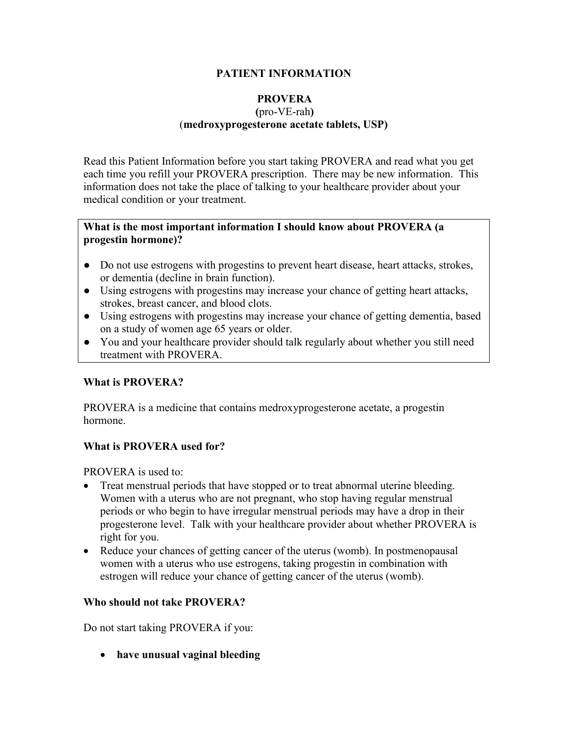## **PATIENT INFORMATION**

#### **PROVERA (**pro-VE-rah**)** (**medroxyprogesterone acetate tablets, USP)**

Read this Patient Information before you start taking PROVERA and read what you get each time you refill your PROVERA prescription. There may be new information. This information does not take the place of talking to your healthcare provider about your medical condition or your treatment.

#### **What is the most important information I should know about PROVERA (a progestin hormone)?**

- Do not use estrogens with progestins to prevent heart disease, heart attacks, strokes, or dementia (decline in brain function).
- Using estrogens with progestins may increase your chance of getting heart attacks, strokes, breast cancer, and blood clots.
- Using estrogens with progestins may increase your chance of getting dementia, based on a study of women age 65 years or older.
- **●** You and your healthcare provider should talk regularly about whether you still need treatment with PROVERA.

## **What is PROVERA?**

PROVERA is a medicine that contains medroxyprogesterone acetate, a progestin hormone.

## **What is PROVERA used for?**

PROVERA is used to:

- Treat menstrual periods that have stopped or to treat abnormal uterine bleeding. Women with a uterus who are not pregnant, who stop having regular menstrual periods or who begin to have irregular menstrual periods may have a drop in their progesterone level. Talk with your healthcare provider about whether PROVERA is right for you.
- Reduce your chances of getting cancer of the uterus (womb). In postmenopausal women with a uterus who use estrogens, taking progestin in combination with estrogen will reduce your chance of getting cancer of the uterus (womb).

## **Who should not take PROVERA?**

Do not start taking PROVERA if you:

**have unusual vaginal bleeding**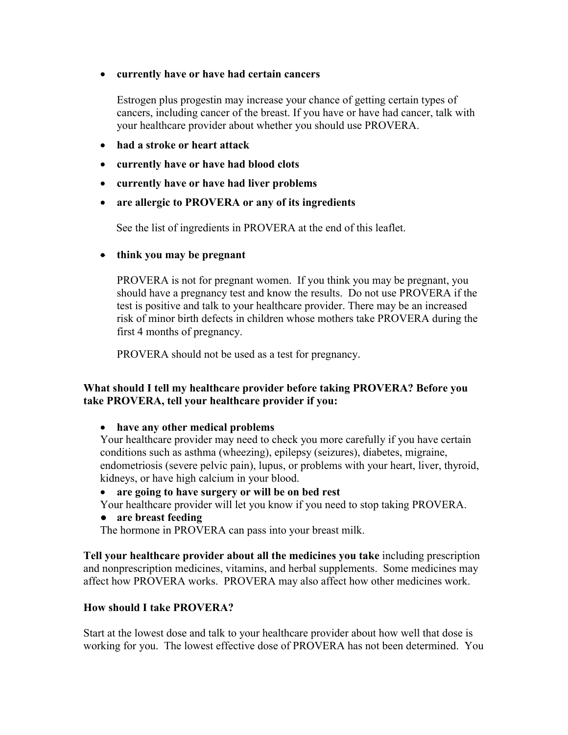#### **currently have or have had certain cancers**

Estrogen plus progestin may increase your chance of getting certain types of cancers, including cancer of the breast. If you have or have had cancer, talk with your healthcare provider about whether you should use PROVERA.

- **had a stroke or heart attack**
- **currently have or have had blood clots**
- **currently have or have had liver problems**
- **are allergic to PROVERA or any of its ingredients**

See the list of ingredients in PROVERA at the end of this leaflet.

**think you may be pregnant**

PROVERA is not for pregnant women. If you think you may be pregnant, you should have a pregnancy test and know the results. Do not use PROVERA if the test is positive and talk to your healthcare provider. There may be an increased risk of minor birth defects in children whose mothers take PROVERA during the first 4 months of pregnancy.

PROVERA should not be used as a test for pregnancy.

#### **What should I tell my healthcare provider before taking PROVERA? Before you take PROVERA, tell your healthcare provider if you:**

**have any other medical problems** 

Your healthcare provider may need to check you more carefully if you have certain conditions such as asthma (wheezing), epilepsy (seizures), diabetes, migraine, endometriosis (severe pelvic pain), lupus, or problems with your heart, liver, thyroid, kidneys, or have high calcium in your blood.

- **are going to have surgery or will be on bed rest**
- Your healthcare provider will let you know if you need to stop taking PROVERA.

#### **● are breast feeding**

The hormone in PROVERA can pass into your breast milk.

**Tell your healthcare provider about all the medicines you take** including prescription and nonprescription medicines, vitamins, and herbal supplements. Some medicines may affect how PROVERA works. PROVERA may also affect how other medicines work.

## **How should I take PROVERA?**

Start at the lowest dose and talk to your healthcare provider about how well that dose is working for you. The lowest effective dose of PROVERA has not been determined. You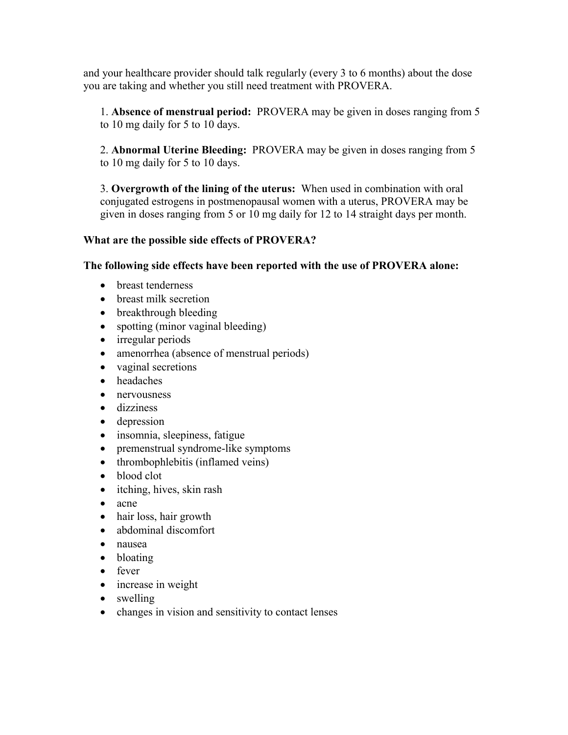and your healthcare provider should talk regularly (every 3 to 6 months) about the dose you are taking and whether you still need treatment with PROVERA.

1. **Absence of menstrual period:** PROVERA may be given in doses ranging from 5 to 10 mg daily for 5 to 10 days.

2. **Abnormal Uterine Bleeding:** PROVERA may be given in doses ranging from 5 to 10 mg daily for 5 to 10 days.

3. **Overgrowth of the lining of the uterus:** When used in combination with oral conjugated estrogens in postmenopausal women with a uterus, PROVERA may be given in doses ranging from 5 or 10 mg daily for 12 to 14 straight days per month.

## **What are the possible side effects of PROVERA?**

**The following side effects have been reported with the use of PROVERA alone:**

- breast tenderness
- breast milk secretion
- breakthrough bleeding
- spotting (minor vaginal bleeding)
- irregular periods
- amenorrhea (absence of menstrual periods)
- vaginal secretions
- headaches
- nervousness
- dizziness
- depression
- insomnia, sleepiness, fatigue
- premenstrual syndrome-like symptoms
- thrombophlebitis (inflamed veins)
- blood clot
- itching, hives, skin rash
- acne
- hair loss, hair growth
- abdominal discomfort
- nausea
- bloating
- fever
- increase in weight
- swelling
- changes in vision and sensitivity to contact lenses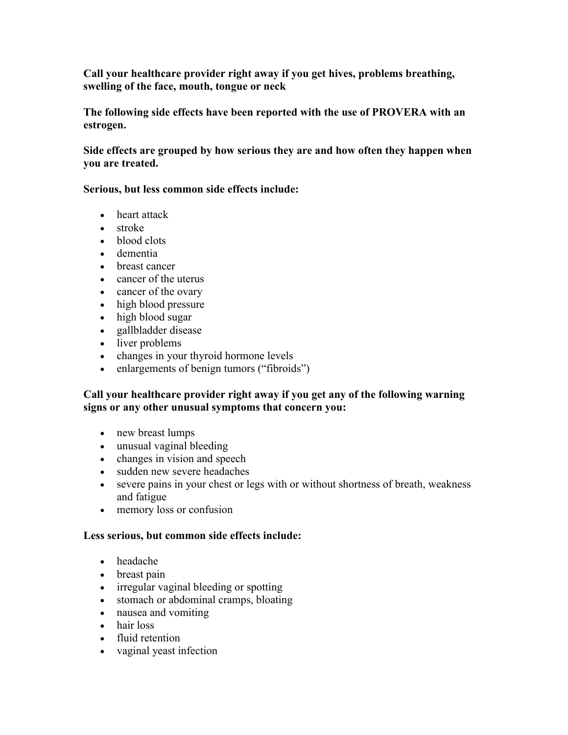**Call your healthcare provider right away if you get hives, problems breathing, swelling of the face, mouth, tongue or neck**

**The following side effects have been reported with the use of PROVERA with an estrogen.** 

**Side effects are grouped by how serious they are and how often they happen when you are treated.**

#### **Serious, but less common side effects include:**

- heart attack
- stroke
- blood clots
- dementia
- breast cancer
- cancer of the uterus
- cancer of the ovary
- high blood pressure
- high blood sugar
- gallbladder disease
- liver problems
- changes in your thyroid hormone levels
- enlargements of benign tumors ("fibroids")

#### **Call your healthcare provider right away if you get any of the following warning signs or any other unusual symptoms that concern you:**

- new breast lumps
- unusual vaginal bleeding
- changes in vision and speech
- sudden new severe headaches
- severe pains in your chest or legs with or without shortness of breath, weakness and fatigue
- memory loss or confusion

## **Less serious, but common side effects include:**

- headache
- breast pain
- irregular vaginal bleeding or spotting
- stomach or abdominal cramps, bloating
- nausea and vomiting
- hair loss
- fluid retention
- vaginal yeast infection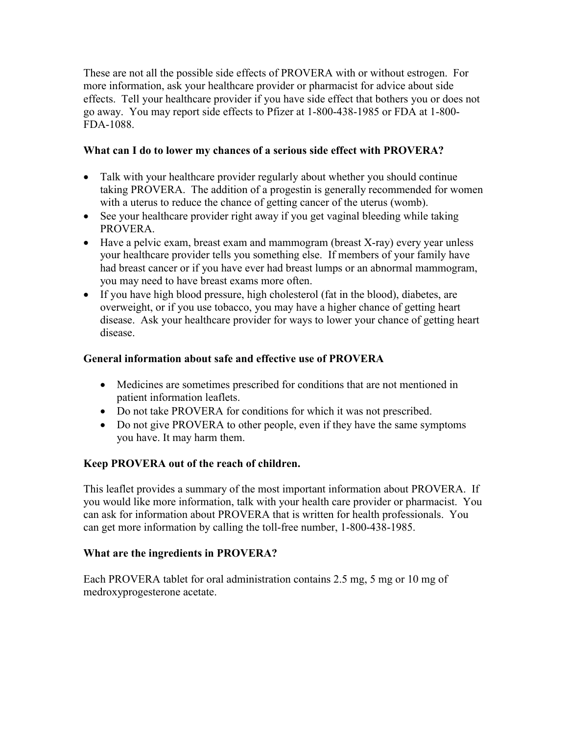These are not all the possible side effects of PROVERA with or without estrogen. For more information, ask your healthcare provider or pharmacist for advice about side effects. Tell your healthcare provider if you have side effect that bothers you or does not go away. You may report side effects to Pfizer at 1-800-438-1985 or FDA at 1-800- FDA-1088.

## **What can I do to lower my chances of a serious side effect with PROVERA?**

- Talk with your healthcare provider regularly about whether you should continue taking PROVERA. The addition of a progestin is generally recommended for women with a uterus to reduce the chance of getting cancer of the uterus (womb).
- See your healthcare provider right away if you get vaginal bleeding while taking PROVERA.
- Have a pelvic exam, breast exam and mammogram (breast X-ray) every year unless your healthcare provider tells you something else. If members of your family have had breast cancer or if you have ever had breast lumps or an abnormal mammogram, you may need to have breast exams more often.
- If you have high blood pressure, high cholesterol (fat in the blood), diabetes, are overweight, or if you use tobacco, you may have a higher chance of getting heart disease. Ask your healthcare provider for ways to lower your chance of getting heart disease.

# **General information about safe and effective use of PROVERA**

- Medicines are sometimes prescribed for conditions that are not mentioned in patient information leaflets.
- Do not take PROVERA for conditions for which it was not prescribed.
- Do not give PROVERA to other people, even if they have the same symptoms you have. It may harm them.

# **Keep PROVERA out of the reach of children.**

This leaflet provides a summary of the most important information about PROVERA. If you would like more information, talk with your health care provider or pharmacist. You can ask for information about PROVERA that is written for health professionals. You can get more information by calling the toll-free number, 1-800-438-1985.

# **What are the ingredients in PROVERA?**

Each PROVERA tablet for oral administration contains 2.5 mg, 5 mg or 10 mg of medroxyprogesterone acetate.